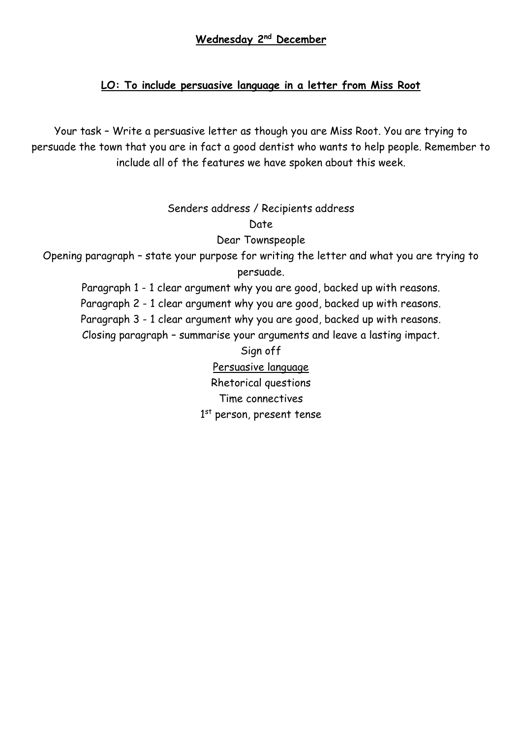## **Wednesday 2nd December**

# **LO: To include persuasive language in a letter from Miss Root**

Your task – Write a persuasive letter as though you are Miss Root. You are trying to persuade the town that you are in fact a good dentist who wants to help people. Remember to include all of the features we have spoken about this week.

Senders address / Recipients address

Date

Dear Townspeople

Opening paragraph – state your purpose for writing the letter and what you are trying to persuade.

Paragraph 1 - 1 clear argument why you are good, backed up with reasons. Paragraph 2 - 1 clear argument why you are good, backed up with reasons. Paragraph 3 - 1 clear argument why you are good, backed up with reasons. Closing paragraph – summarise your arguments and leave a lasting impact.

> Sign off Persuasive language Rhetorical questions Time connectives 1<sup>st</sup> person, present tense